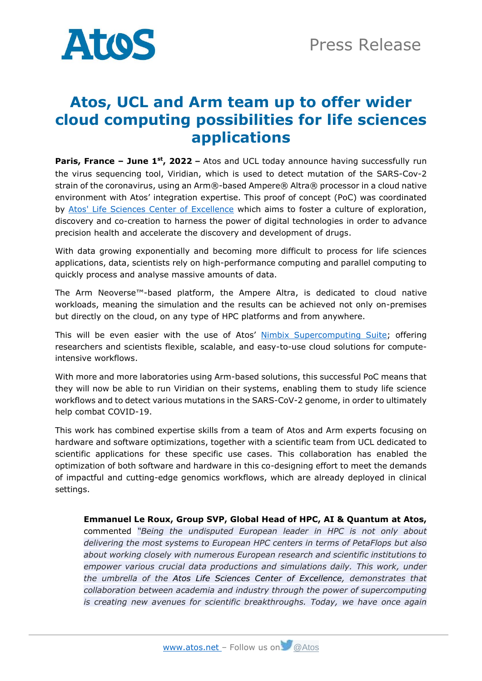

## **Atos, UCL and Arm team up to offer wider cloud computing possibilities for life sciences applications**

**Paris, France – June 1st , 2022 –** Atos and UCL today announce having successfully run the virus sequencing tool, Viridian, which is used to detect mutation of the SARS-Cov-2 strain of the coronavirus, using an Arm®-based Ampere® Altra® processor in a cloud native environment with Atos' integration expertise. This proof of concept (PoC) was coordinated by [Atos' Life Sciences Center of Excellence](https://atos.net/en/industries/healthcare-life-sciences/lscoe) which aims to foster a culture of exploration, discovery and co-creation to harness the power of digital technologies in order to advance precision health and accelerate the discovery and development of drugs.

With data growing exponentially and becoming more difficult to process for life sciences applications, data, scientists rely on high-performance computing and parallel computing to quickly process and analyse massive amounts of data.

The Arm Neoverse™-based platform, the Ampere Altra, is dedicated to cloud native workloads, meaning the simulation and the results can be achieved not only on-premises but directly on the cloud, on any type of HPC platforms and from anywhere.

This will be even easier with the use of Atos' [Nimbix Supercomputing Suite;](https://atos.net/en/2022/press-release_2022_05_25/atos-launches-nimbix-supercomputing-suite) offering researchers and scientists flexible, scalable, and easy-to-use cloud solutions for computeintensive workflows.

With more and more laboratories using Arm-based solutions, this successful PoC means that they will now be able to run Viridian on their systems, enabling them to study life science workflows and to detect various mutations in the SARS-CoV-2 genome, in order to ultimately help combat COVID-19.

This work has combined expertise skills from a team of Atos and Arm experts focusing on hardware and software optimizations, together with a scientific team from UCL dedicated to scientific applications for these specific use cases. This collaboration has enabled the optimization of both software and hardware in this co-designing effort to meet the demands of impactful and cutting-edge genomics workflows, which are already deployed in clinical settings.

**Emmanuel Le Roux, Group SVP, Global Head of HPC, AI & Quantum at Atos,** commented *"Being the undisputed European leader in HPC is not only about delivering the most systems to European HPC centers in terms of PetaFlops but also about working closely with numerous European research and scientific institutions to empower various crucial data productions and simulations daily. This work, under the umbrella of the Atos Life Sciences Center of Excellence, demonstrates that collaboration between academia and industry through the power of supercomputing is creating new avenues for scientific breakthroughs. Today, we have once again*